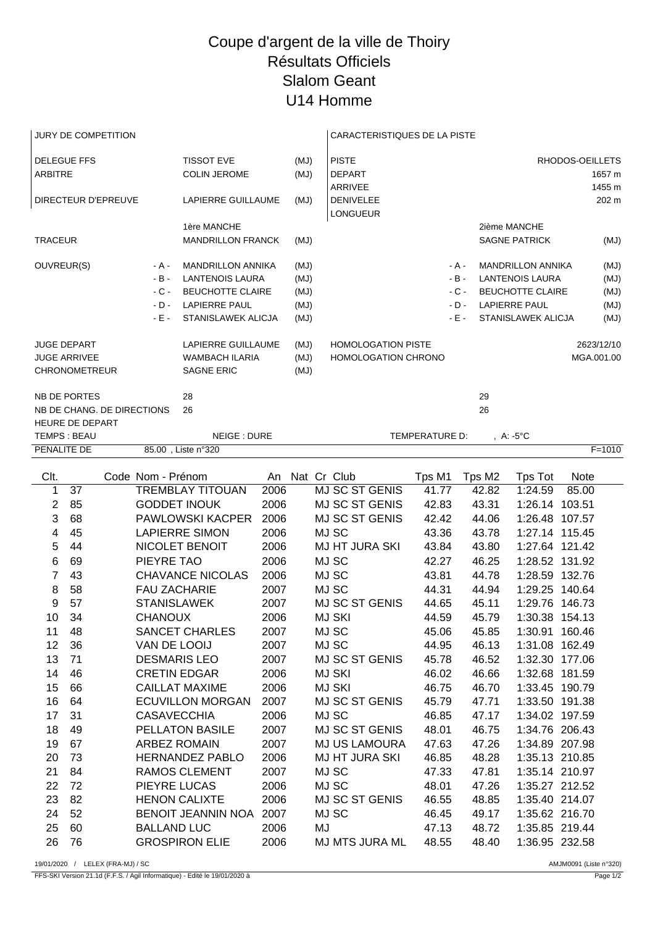## Coupe d'argent de la ville de Thoiry Résultats Officiels Slalom Geant U14 Homme

| JURY DE COMPETITION                   |  |                                 |                     |                            |                          |      | CARACTERISTIQUES DE LA PISTE |                |                                  |          |                    |                 |                          |             |            |
|---------------------------------------|--|---------------------------------|---------------------|----------------------------|--------------------------|------|------------------------------|----------------|----------------------------------|----------|--------------------|-----------------|--------------------------|-------------|------------|
| <b>DELEGUE FFS</b>                    |  |                                 |                     |                            | <b>TISSOT EVE</b>        |      | (MJ)                         |                | <b>PISTE</b>                     |          |                    | RHODOS-OEILLETS |                          |             |            |
| <b>ARBITRE</b>                        |  |                                 |                     |                            | <b>COLIN JEROME</b>      |      | (MJ)                         |                | <b>DEPART</b>                    |          |                    |                 |                          |             | 1657 m     |
|                                       |  |                                 |                     |                            |                          |      |                              |                | ARRIVEE                          |          |                    |                 |                          |             | 1455 m     |
|                                       |  |                                 | DIRECTEUR D'EPREUVE |                            | LAPIERRE GUILLAUME       |      | (MJ)                         |                | <b>DENIVELEE</b>                 |          |                    |                 |                          |             | 202 m      |
|                                       |  |                                 |                     |                            |                          |      |                              |                | <b>LONGUEUR</b>                  |          |                    |                 |                          |             |            |
|                                       |  |                                 |                     |                            | 1ère MANCHE              |      |                              |                |                                  |          |                    |                 | 2ième MANCHE             |             |            |
| <b>TRACEUR</b>                        |  |                                 |                     |                            | <b>MANDRILLON FRANCK</b> |      | (MJ)                         |                |                                  |          |                    |                 | <b>SAGNE PATRICK</b>     |             | (MJ)       |
|                                       |  | OUVREUR(S)                      |                     | - A -                      | <b>MANDRILLON ANNIKA</b> |      | (MJ)                         |                |                                  |          | - A -              |                 | <b>MANDRILLON ANNIKA</b> |             | (MJ)       |
|                                       |  |                                 |                     | $-B -$                     | <b>LANTENOIS LAURA</b>   |      | (MJ)                         |                | $-B -$<br><b>LANTENOIS LAURA</b> |          |                    |                 |                          | (MJ)        |            |
|                                       |  |                                 |                     | $-C -$                     | BEUCHOTTE CLAIRE         |      | (MJ)                         |                |                                  |          | $-C -$             |                 | <b>BEUCHOTTE CLAIRE</b>  |             | (MJ)       |
|                                       |  |                                 |                     | $-D -$                     | <b>LAPIERRE PAUL</b>     |      | (MJ)                         |                |                                  |          | $-D -$             |                 | <b>LAPIERRE PAUL</b>     |             | (MJ)       |
|                                       |  |                                 |                     | $-E -$                     | STANISLAWEK ALICJA       |      | (MJ)                         |                |                                  |          | $-E -$             |                 | STANISLAWEK ALICJA       |             | (UM)       |
|                                       |  | <b>JUGE DEPART</b>              |                     |                            | LAPIERRE GUILLAUME       |      | (MJ)                         |                | <b>HOMOLOGATION PISTE</b>        |          |                    |                 |                          |             | 2623/12/10 |
|                                       |  | <b>JUGE ARRIVEE</b>             |                     |                            | <b>WAMBACH ILARIA</b>    |      | (MJ)                         |                | <b>HOMOLOGATION CHRONO</b>       |          |                    |                 |                          | MGA.001.00  |            |
|                                       |  | <b>CHRONOMETREUR</b>            |                     |                            | <b>SAGNE ERIC</b>        |      |                              | (MJ)           |                                  |          |                    |                 |                          |             |            |
| NB DE PORTES                          |  |                                 | 28                  |                            |                          |      |                              |                |                                  | 29       |                    |                 |                          |             |            |
|                                       |  |                                 |                     | NB DE CHANG. DE DIRECTIONS | 26                       |      |                              |                | 26                               |          |                    |                 |                          |             |            |
|                                       |  |                                 |                     |                            |                          |      |                              |                |                                  |          |                    |                 |                          |             |            |
| <b>HEURE DE DEPART</b><br>TEMPS: BEAU |  |                                 |                     | NEIGE: DURE                |                          |      |                              | TEMPERATURE D: |                                  |          | , $A: -5^{\circ}C$ |                 |                          |             |            |
| <b>PENALITE DE</b>                    |  |                                 | 85.00, Liste n°320  |                            |                          |      |                              |                |                                  |          |                    |                 | $F = 1010$               |             |            |
|                                       |  |                                 |                     |                            |                          |      |                              |                |                                  |          |                    |                 |                          |             |            |
| Clt.                                  |  |                                 |                     | Code Nom - Prénom          |                          |      | An Nat Cr Club               |                |                                  | Tps M1   |                    | Tps M2          | Tps Tot                  | <b>Note</b> |            |
| 1                                     |  | 37                              |                     |                            | <b>TREMBLAY TITOUAN</b>  | 2006 |                              |                | <b>MJ SC ST GENIS</b>            | 41.77    |                    | 42.82           | 1:24.59                  | 85.00       |            |
| 2                                     |  | 85                              |                     |                            | <b>GODDET INOUK</b>      | 2006 |                              |                | MJ SC ST GENIS                   | 42.83    |                    | 43.31           | 1:26.14 103.51           |             |            |
| 3                                     |  | 68                              |                     |                            | PAWLOWSKI KACPER         | 2006 |                              |                | MJ SC ST GENIS                   | 42.42    |                    | 44.06           | 1:26.48 107.57           |             |            |
| 4                                     |  | 45                              |                     |                            | <b>LAPIERRE SIMON</b>    | 2006 |                              |                | MJ SC                            | 43.36    |                    | 43.78           | 1:27.14 115.45           |             |            |
| 5                                     |  | 44                              |                     |                            | NICOLET BENOIT           | 2006 |                              |                | <b>MJ HT JURA SKI</b>            | 43.84    |                    | 43.80           | 1:27.64 121.42           |             |            |
| 6                                     |  | 69                              |                     | PIEYRE TAO                 |                          | 2006 |                              |                | MJ SC                            | 42.27    |                    | 46.25           | 1:28.52 131.92           |             |            |
| $\overline{7}$                        |  | 43                              |                     |                            | <b>CHAVANCE NICOLAS</b>  | 2006 |                              |                | MJ SC                            | 43.81    |                    | 44.78           | 1:28.59 132.76           |             |            |
| 8                                     |  | 58                              |                     | <b>FAU ZACHARIE</b>        |                          | 2007 |                              |                | MJ SC                            | 44.31    |                    | 44.94           | 1:29.25 140.64           |             |            |
| 9                                     |  | 57                              |                     | <b>STANISLAWEK</b>         |                          | 2007 |                              |                | MJ SC ST GENIS                   | 44.65    |                    | 45.11           | 1:29.76 146.73           |             |            |
| 10                                    |  | 34                              |                     | <b>CHANOUX</b>             |                          | 2006 |                              |                | <b>MJ SKI</b>                    | 44.59    |                    | 45.79           | 1:30.38 154.13           |             |            |
| 11                                    |  | 48                              |                     |                            | <b>SANCET CHARLES</b>    | 2007 |                              |                | MJ SC                            | 45.06    |                    | 45.85           | 1:30.91 160.46           |             |            |
| 12                                    |  | 36                              |                     | VAN DE LOOIJ               |                          | 2007 |                              |                | MJ SC                            | 44.95    |                    | 46.13           | 1:31.08 162.49           |             |            |
|                                       |  | $\overline{10}$ $\overline{21}$ |                     | DEOMADIO LEO               |                          | 0007 |                              |                | 11.00222110                      | $1 - 70$ |                    | 10F             | $1.00.00$ $177.00$       |             |            |

| 10 | 34 | <b>CHANOUX</b>         | 2006 | <b>MJ SKI</b>         | 44.59 | 45.79 | 1:30.38 154.13 |        |
|----|----|------------------------|------|-----------------------|-------|-------|----------------|--------|
| 11 | 48 | <b>SANCET CHARLES</b>  | 2007 | MJ SC                 | 45.06 | 45.85 | 1:30.91        | 160.46 |
| 12 | 36 | VAN DE LOOIJ           | 2007 | MJ SC                 | 44.95 | 46.13 | 1:31.08        | 162.49 |
| 13 | 71 | <b>DESMARIS LEO</b>    | 2007 | MJ SC ST GENIS        | 45.78 | 46.52 | 1:32.30        | 177.06 |
| 14 | 46 | <b>CRETIN EDGAR</b>    | 2006 | MJ SKI                | 46.02 | 46.66 | 1:32.68 181.59 |        |
| 15 | 66 | CAILLAT MAXIME         | 2006 | MJ SKI                | 46.75 | 46.70 | 1:33.45        | 190.79 |
| 16 | 64 | ECUVILLON MORGAN       | 2007 | MJ SC ST GENIS        | 45.79 | 47.71 | 1:33.50        | 191.38 |
| 17 | 31 | <b>CASAVECCHIA</b>     | 2006 | MJ SC                 | 46.85 | 47.17 | 1:34.02 197.59 |        |
| 18 | 49 | <b>PELLATON BASILE</b> | 2007 | <b>MJ SC ST GENIS</b> | 48.01 | 46.75 | 1:34.76 206.43 |        |
| 19 | 67 | ARBEZ ROMAIN           | 2007 | MJ US LAMOURA         | 47.63 | 47.26 | 1:34.89 207.98 |        |
| 20 | 73 | HERNANDEZ PABLO        | 2006 | MJ HT JURA SKI        | 46.85 | 48.28 | 1:35.13 210.85 |        |
| 21 | 84 | <b>RAMOS CLEMENT</b>   | 2007 | MJ SC                 | 47.33 | 47.81 | 1:35.14 210.97 |        |
| 22 | 72 | PIEYRE LUCAS           | 2006 | MJ SC                 | 48.01 | 47.26 | 1:35.27 212.52 |        |
| 23 | 82 | <b>HENON CALIXTE</b>   | 2006 | MJ SC ST GENIS        | 46.55 | 48.85 | 1:35.40 214.07 |        |
| 24 | 52 | BENOIT JEANNIN NOA     | 2007 | MJ SC                 | 46.45 | 49.17 | 1:35.62 216.70 |        |
| 25 | 60 | <b>BALLAND LUC</b>     | 2006 | MJ                    | 47.13 | 48.72 | 1:35.85 219.44 |        |
| 26 | 76 | <b>GROSPIRON ELIE</b>  | 2006 | <b>MJ MTS JURA ML</b> | 48.55 | 48.40 | 1:36.95 232.58 |        |

19/01/2020 / LELEX (FRA-MJ) / SC AMJM0091 (Liste n°320)

FFS-SKI Version 21.1d (F.F.S. / Agil Informatique) - Edité le 19/01/2020 à Page 1/2